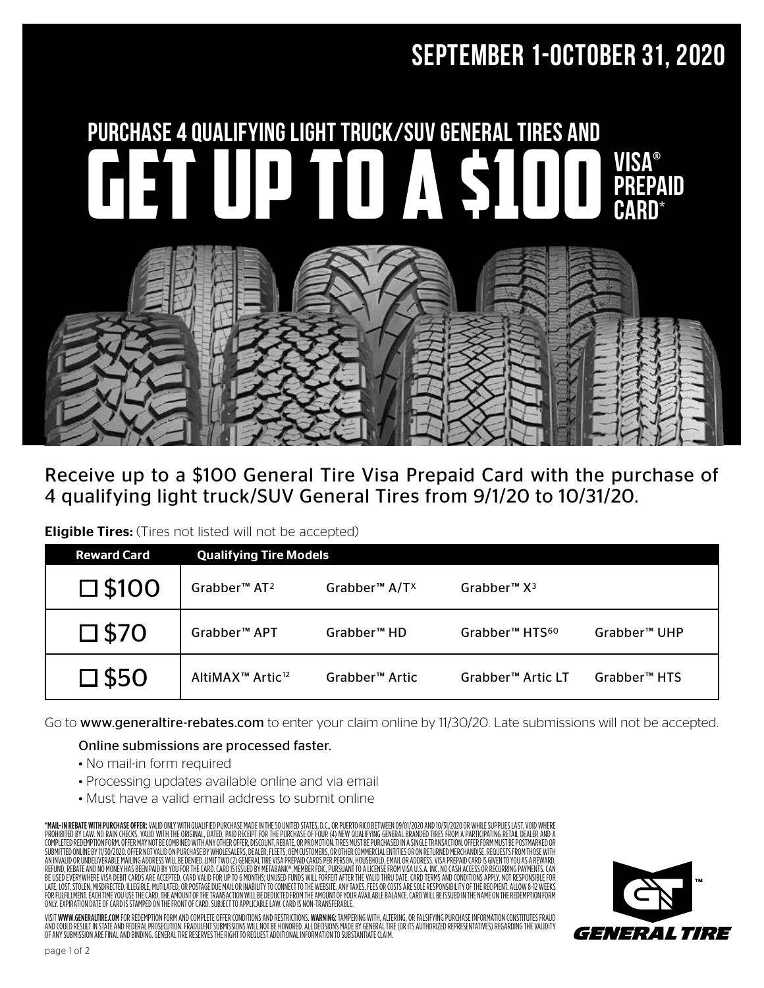# September 1-October 31, 2020



## Receive up to a \$100 General Tire Visa Prepaid Card with the purchase of 4 qualifying light truck/SUV General Tires from 9/1/20 to 10/31/20.

**Eligible Tires:** (Tires not listed will not be accepted)

| <b>Reward Card</b> | <b>Qualifying Tire Models</b>            |                                       |                               |                          |  |  |  |  |  |  |  |  |
|--------------------|------------------------------------------|---------------------------------------|-------------------------------|--------------------------|--|--|--|--|--|--|--|--|
| $\square$ \$100    | Grabber <sup>™</sup> AT <sup>2</sup>     | Grabber <sup>™</sup> A/T <sup>x</sup> | Grabber <sup>™</sup> $X^3$    |                          |  |  |  |  |  |  |  |  |
| $\square$ \$70     | Grabber <sup>™</sup> APT                 | Grabber <sup>™</sup> HD               | Grabber™ HTS <sup>60</sup>    | Grabber <sup>™</sup> UHP |  |  |  |  |  |  |  |  |
| $\square$ \$50     | AltiMAX <sup>™</sup> Artic <sup>12</sup> | Grabber <sup>™</sup> Artic            | Grabber <sup>™</sup> Artic LT | Grabber <sup>™</sup> HTS |  |  |  |  |  |  |  |  |

Go to www.generaltire-rebates.com to enter your claim online by 11/30/20. Late submissions will not be accepted.

## Online submissions are processed faster.

- No mail-in form required
- Processing updates available online and via email
- Must have a valid email address to submit online

\***MAIL-IN REBATE WITH PURCHASE OFFER:** VALID ONLY WITH QUALIFIED PURCHASE MADE IN THE 50 UNITED STATES, D.C., OR PUERTO RICO BETWEEN 09/01/2020 AND 10/31/2020 OR WHILE SUPPLIES LAST. VOID WHERE<br>PROHIBITED BY LAW. NO RAIN C COMPLETED REDEMPTION FORM. OFFER MAY NOT BE COMBINED WITH ANY OTHER OFFER, DISCOUNT, REBATE, OR PROMOTION. TIRES MUST BE PURCHASED IN A SINGLE TRANSACTION. OFFER FORM MUST BE POSTMARKED OR SUBMITTED ONLINE BY 11/30/2020. OFFER NOT VALID ON PURCHASE BY WHOLESALERS, DEALER, FLEETS, OEM CUSTOMERS, OR OTHER COMMERCIAL ENTITES OR ON RETURNED MERCHANDISE. REQUESTS FROM THOSE WITH<br>AN INVALID OR UNDELIVERABLE MAILIN REFUND, REBATE AND NO MONEY HAS BEEN PAID BY YOU FOR THE CARD. CARD IS ISSUED BY METABANK®, MEMBER FDIC, PURSUANT TO A LICENSE FROM VISA U.S.A. INC. NO CASH ACCESS OR RECURRING PAYMENTS. CAN BE USED EVERYWHERE VISA DEBIT CARDS ARE ACCEPTED. CARD VALID FOR UP TO 6 MONTHS; UNUSED EUNDS WILL FORFEIT AFTER THE VALID THRU DATE. CARD TERMS AND CONDITIONS APPLY. NOT RESPONSIBLE FOR<br>LATE, LOST, STOLEN, MISDIRECTED, IL FOR FULFILLMENT. EACH TIME YOU USE THE CARD, THE AMOUNT OF THE TRANSACTION WILL BE DEDUCTED FROM THE AMOUNT OF YOUR AVAILABLE BALANCE. CARD WILL BE ISSUED IN THE NAME ON THE REDEMPTION FORM ONLY. EXPIRATION DATE OF CARD IS STAMPED ON THE FRONT OF CARD. SUBJECT TO APPLICABLE LAW. CARD IS NON-TRANSFERABLE.